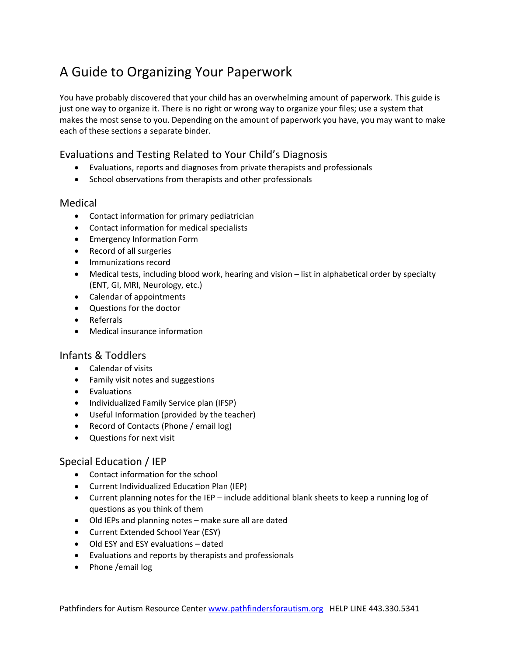## A Guide to Organizing Your Paperwork

You have probably discovered that your child has an overwhelming amount of paperwork. This guide is just one way to organize it. There is no right or wrong way to organize your files; use a system that makes the most sense to you. Depending on the amount of paperwork you have, you may want to make each of these sections a separate binder.

## Evaluations and Testing Related to Your Child's Diagnosis

- Evaluations, reports and diagnoses from private therapists and professionals
- School observations from therapists and other professionals

## Medical

- Contact information for primary pediatrician
- Contact information for medical specialists
- Emergency Information Form
- Record of all surgeries
- Immunizations record
- Medical tests, including blood work, hearing and vision list in alphabetical order by specialty (ENT, GI, MRI, Neurology, etc.)
- Calendar of appointments
- Questions for the doctor
- Referrals
- Medical insurance information

## Infants & Toddlers

- Calendar of visits
- Family visit notes and suggestions
- Evaluations
- Individualized Family Service plan (IFSP)
- Useful Information (provided by the teacher)
- Record of Contacts (Phone / email log)
- Questions for next visit

## Special Education / IEP

- Contact information for the school
- Current Individualized Education Plan (IEP)
- Current planning notes for the IEP include additional blank sheets to keep a running log of questions as you think of them
- Old IEPs and planning notes make sure all are dated
- Current Extended School Year (ESY)
- Old ESY and ESY evaluations dated
- Evaluations and reports by therapists and professionals
- Phone / email log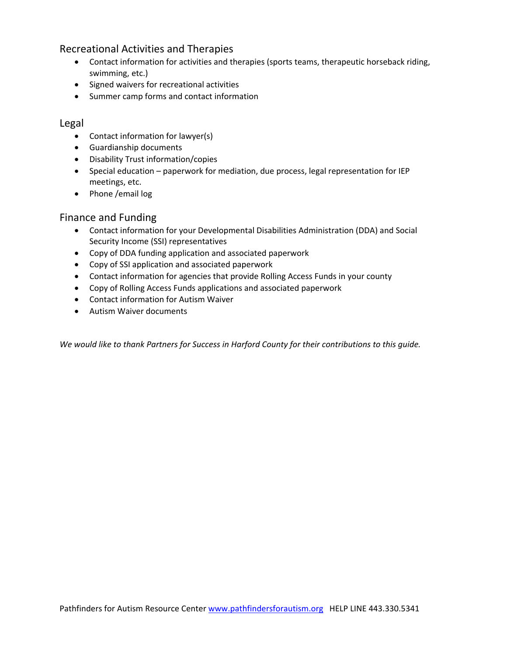## Recreational Activities and Therapies

- Contact information for activities and therapies (sports teams, therapeutic horseback riding, swimming, etc.)
- Signed waivers for recreational activities
- Summer camp forms and contact information

## Legal

- Contact information for lawyer(s)
- Guardianship documents
- Disability Trust information/copies
- Special education paperwork for mediation, due process, legal representation for IEP meetings, etc.
- Phone /email log

## Finance and Funding

- Contact information for your Developmental Disabilities Administration (DDA) and Social Security Income (SSI) representatives
- Copy of DDA funding application and associated paperwork
- Copy of SSI application and associated paperwork
- Contact information for agencies that provide Rolling Access Funds in your county
- Copy of Rolling Access Funds applications and associated paperwork
- Contact information for Autism Waiver
- Autism Waiver documents

*We would like to thank Partners for Success in Harford County for their contributions to this guide.*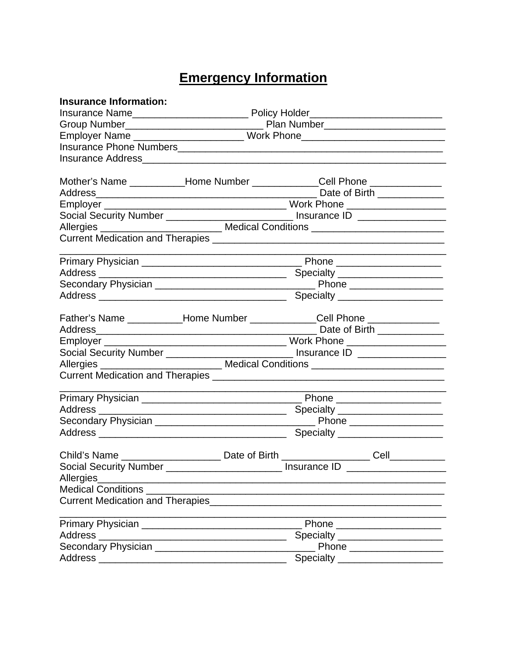# **Emergency Information**

| <b>Insurance Information:</b>                                                              |                                                                                                                      |                                                                                   |  |  |
|--------------------------------------------------------------------------------------------|----------------------------------------------------------------------------------------------------------------------|-----------------------------------------------------------------------------------|--|--|
|                                                                                            |                                                                                                                      |                                                                                   |  |  |
|                                                                                            |                                                                                                                      |                                                                                   |  |  |
|                                                                                            | Employer Name _________________________Work Phone_______________________________                                     |                                                                                   |  |  |
|                                                                                            |                                                                                                                      |                                                                                   |  |  |
|                                                                                            |                                                                                                                      |                                                                                   |  |  |
|                                                                                            |                                                                                                                      | Mother's Name ____________Home Number _____________Cell Phone __________________  |  |  |
|                                                                                            |                                                                                                                      |                                                                                   |  |  |
|                                                                                            |                                                                                                                      |                                                                                   |  |  |
|                                                                                            |                                                                                                                      | Social Security Number __________________________ Insurance ID _________________  |  |  |
|                                                                                            |                                                                                                                      | Allergies __________________________________Medical Conditions __________________ |  |  |
|                                                                                            |                                                                                                                      |                                                                                   |  |  |
|                                                                                            |                                                                                                                      |                                                                                   |  |  |
|                                                                                            |                                                                                                                      |                                                                                   |  |  |
|                                                                                            |                                                                                                                      |                                                                                   |  |  |
|                                                                                            |                                                                                                                      | Specialty _____________________                                                   |  |  |
|                                                                                            |                                                                                                                      | Father's Name ____________Home Number _______________Cell Phone ________________  |  |  |
|                                                                                            |                                                                                                                      |                                                                                   |  |  |
|                                                                                            |                                                                                                                      |                                                                                   |  |  |
|                                                                                            |                                                                                                                      | Social Security Number ___________________________ Insurance ID ________________  |  |  |
|                                                                                            |                                                                                                                      | Allergies __________________________________Medical Conditions __________________ |  |  |
|                                                                                            |                                                                                                                      |                                                                                   |  |  |
|                                                                                            |                                                                                                                      |                                                                                   |  |  |
|                                                                                            |                                                                                                                      |                                                                                   |  |  |
|                                                                                            |                                                                                                                      |                                                                                   |  |  |
|                                                                                            |                                                                                                                      | Specialty _____________________                                                   |  |  |
|                                                                                            |                                                                                                                      |                                                                                   |  |  |
| Social Security Number _                                                                   |                                                                                                                      |                                                                                   |  |  |
| Allergies                                                                                  | <u> 1989 - Johann Stein, mars an deutscher Stein und der Stein und der Stein und der Stein und der Stein und der</u> |                                                                                   |  |  |
| <b>Medical Conditions</b>                                                                  |                                                                                                                      |                                                                                   |  |  |
| Current Medication and Therapies                                                           |                                                                                                                      |                                                                                   |  |  |
|                                                                                            |                                                                                                                      | Phone ________________________                                                    |  |  |
|                                                                                            | Specialty ______________________                                                                                     |                                                                                   |  |  |
|                                                                                            |                                                                                                                      | Phone ___________________                                                         |  |  |
| <b>Address</b><br><u> 1989 - Johann John Stein, mars an deus Amerikaansk kommunister (</u> |                                                                                                                      | Specialty _______________________                                                 |  |  |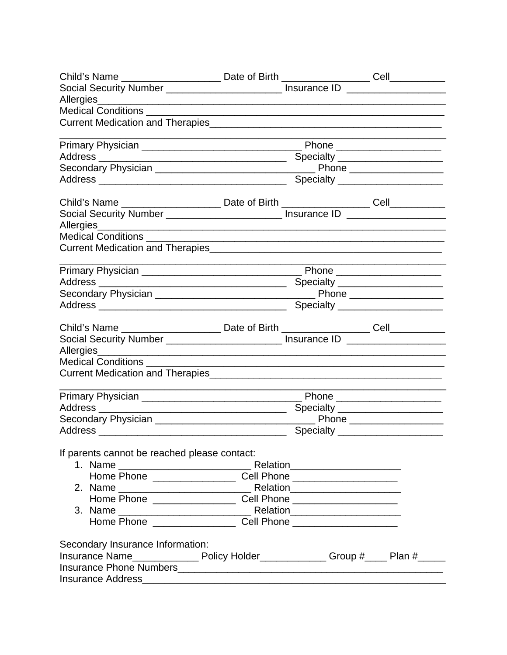| Social Security Number _________________________ Insurance ID __________________             |                                                            |                                   |  |
|----------------------------------------------------------------------------------------------|------------------------------------------------------------|-----------------------------------|--|
|                                                                                              |                                                            |                                   |  |
|                                                                                              |                                                            |                                   |  |
|                                                                                              |                                                            |                                   |  |
|                                                                                              | <u> 1989 - Johann John Stone, fransk politik (d. 1989)</u> |                                   |  |
|                                                                                              |                                                            |                                   |  |
|                                                                                              |                                                            |                                   |  |
|                                                                                              |                                                            | Specialty _____________________   |  |
|                                                                                              |                                                            |                                   |  |
| Social Security Number _________________________ Insurance ID __________________             |                                                            |                                   |  |
|                                                                                              |                                                            |                                   |  |
|                                                                                              |                                                            |                                   |  |
|                                                                                              |                                                            |                                   |  |
|                                                                                              |                                                            |                                   |  |
|                                                                                              |                                                            |                                   |  |
|                                                                                              |                                                            |                                   |  |
|                                                                                              |                                                            | Specialty _____________________   |  |
|                                                                                              |                                                            |                                   |  |
| Social Security Number _________________________ Insurance ID __________________             |                                                            |                                   |  |
|                                                                                              |                                                            |                                   |  |
| <b>Medical Conditions</b>                                                                    |                                                            |                                   |  |
|                                                                                              |                                                            |                                   |  |
|                                                                                              |                                                            |                                   |  |
|                                                                                              |                                                            | Specialty ______________________  |  |
|                                                                                              |                                                            |                                   |  |
|                                                                                              |                                                            | Specialty _______________________ |  |
| If parents cannot be reached please contact:                                                 |                                                            |                                   |  |
|                                                                                              |                                                            |                                   |  |
| Home Phone ______________________ Cell Phone ___________________________________             |                                                            |                                   |  |
|                                                                                              |                                                            |                                   |  |
| Home Phone ______________________ Cell Phone ___________________________________             |                                                            |                                   |  |
|                                                                                              |                                                            |                                   |  |
| Home Phone __________________________________Cell Phone ________________________             |                                                            |                                   |  |
| Secondary Insurance Information:                                                             |                                                            |                                   |  |
| Insurance Name______________________Policy Holder_________________Group #_______Plan #______ |                                                            |                                   |  |
|                                                                                              |                                                            |                                   |  |
|                                                                                              |                                                            |                                   |  |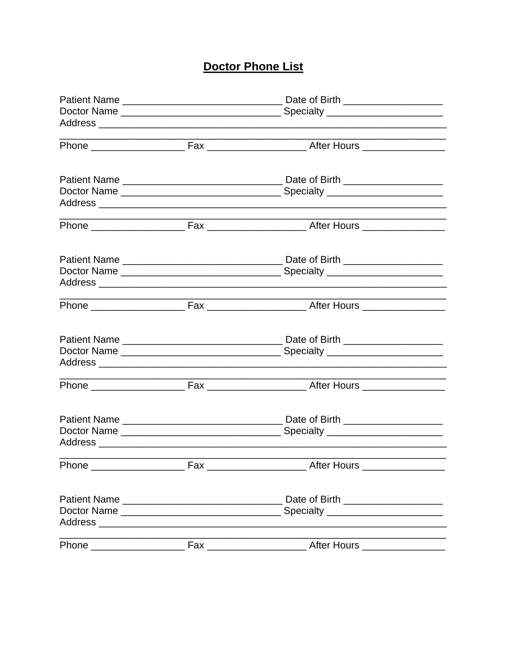## **Doctor Phone List**

|  |                                                                                           | <u> 2001 - Johann John Harrison, mars and de la provincia de la provincia de la provincia de la provincia de la p</u> |                                                                                                                      |  |
|--|-------------------------------------------------------------------------------------------|-----------------------------------------------------------------------------------------------------------------------|----------------------------------------------------------------------------------------------------------------------|--|
|  |                                                                                           |                                                                                                                       |                                                                                                                      |  |
|  |                                                                                           |                                                                                                                       |                                                                                                                      |  |
|  | the control of the control of the control of the control of the control of the control of | the control of the control of the control of the control of the control of the control of                             |                                                                                                                      |  |
|  |                                                                                           |                                                                                                                       |                                                                                                                      |  |
|  |                                                                                           |                                                                                                                       |                                                                                                                      |  |
|  |                                                                                           |                                                                                                                       |                                                                                                                      |  |
|  |                                                                                           |                                                                                                                       |                                                                                                                      |  |
|  |                                                                                           |                                                                                                                       |                                                                                                                      |  |
|  |                                                                                           |                                                                                                                       | <u> 1990 - Johann John Stone, markin fan it ferstjer fan it ferstjer fan it ferstjer fan it ferstjer fan it fers</u> |  |
|  |                                                                                           |                                                                                                                       |                                                                                                                      |  |
|  |                                                                                           |                                                                                                                       |                                                                                                                      |  |
|  |                                                                                           |                                                                                                                       |                                                                                                                      |  |
|  |                                                                                           |                                                                                                                       |                                                                                                                      |  |
|  |                                                                                           |                                                                                                                       |                                                                                                                      |  |
|  |                                                                                           |                                                                                                                       |                                                                                                                      |  |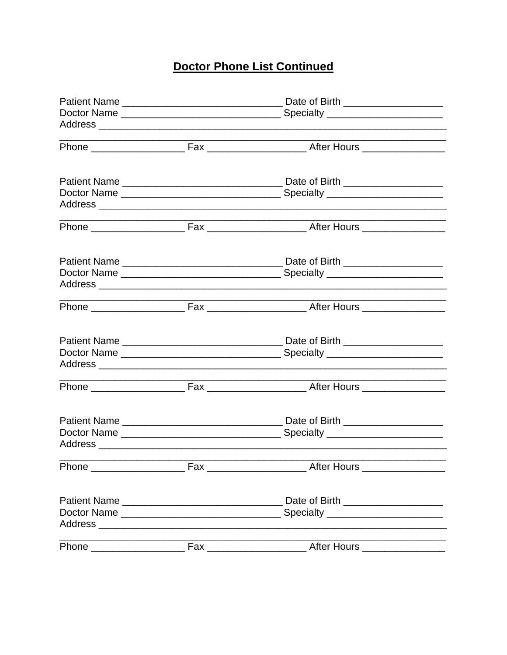## **Doctor Phone List Continued**

|                                                   |  | <u> 1989 - Johann Harry Barn, mars ar yn y brening y brening yn y brening y brening yn y brening y brening yn y b</u> |                                                                            |  |
|---------------------------------------------------|--|-----------------------------------------------------------------------------------------------------------------------|----------------------------------------------------------------------------|--|
|                                                   |  |                                                                                                                       |                                                                            |  |
|                                                   |  |                                                                                                                       |                                                                            |  |
|                                                   |  |                                                                                                                       |                                                                            |  |
|                                                   |  |                                                                                                                       |                                                                            |  |
|                                                   |  |                                                                                                                       |                                                                            |  |
|                                                   |  |                                                                                                                       |                                                                            |  |
|                                                   |  | ,我们也不能在这里的时候,我们也不能在这里的时候,我们也不能不能不能不能不能不能不能不能不能不能不能不能不能不能。""我们,我们也不能不能不能不能不能不能不能不                                      |                                                                            |  |
|                                                   |  |                                                                                                                       |                                                                            |  |
|                                                   |  |                                                                                                                       |                                                                            |  |
| <u> 1989 - Johann Barn, mars et al. (b. 1989)</u> |  |                                                                                                                       |                                                                            |  |
|                                                   |  |                                                                                                                       |                                                                            |  |
|                                                   |  |                                                                                                                       |                                                                            |  |
|                                                   |  |                                                                                                                       |                                                                            |  |
| Patient Name                                      |  | Date of Birth _____________________                                                                                   |                                                                            |  |
|                                                   |  |                                                                                                                       |                                                                            |  |
|                                                   |  | After Hours _________________                                                                                         | the control of the control of the control of the control of the control of |  |
|                                                   |  |                                                                                                                       |                                                                            |  |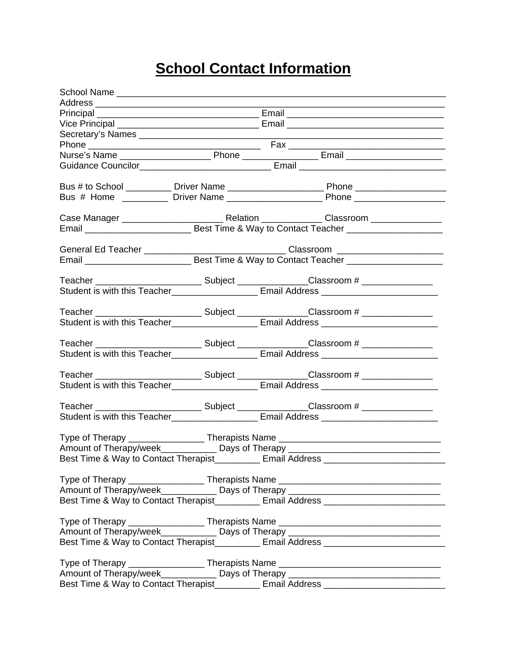# **School Contact Information**

|                                                                                   |  | Teacher __________________________________Subject _________________Classroom # ____________________ |  |
|-----------------------------------------------------------------------------------|--|-----------------------------------------------------------------------------------------------------|--|
|                                                                                   |  | Student is with this Teacher___________________________ Email Address _____________________________ |  |
|                                                                                   |  |                                                                                                     |  |
|                                                                                   |  |                                                                                                     |  |
|                                                                                   |  |                                                                                                     |  |
|                                                                                   |  |                                                                                                     |  |
|                                                                                   |  |                                                                                                     |  |
|                                                                                   |  |                                                                                                     |  |
|                                                                                   |  |                                                                                                     |  |
|                                                                                   |  | Teacher __________________________________Subject _________________Classroom # ____________________ |  |
|                                                                                   |  |                                                                                                     |  |
|                                                                                   |  |                                                                                                     |  |
|                                                                                   |  |                                                                                                     |  |
|                                                                                   |  |                                                                                                     |  |
| Best Time & Way to Contact Therapist___________ Email Address ________            |  |                                                                                                     |  |
|                                                                                   |  |                                                                                                     |  |
|                                                                                   |  |                                                                                                     |  |
|                                                                                   |  |                                                                                                     |  |
|                                                                                   |  | Best Time & Way to Contact Therapist____________ Email Address __________________                   |  |
|                                                                                   |  |                                                                                                     |  |
|                                                                                   |  |                                                                                                     |  |
| Amount of Therapy/week _____________ Days of Therapy ____________________________ |  |                                                                                                     |  |
|                                                                                   |  | Best Time & Way to Contact Therapist____________ Email Address __________________                   |  |
|                                                                                   |  |                                                                                                     |  |
|                                                                                   |  |                                                                                                     |  |
|                                                                                   |  |                                                                                                     |  |
|                                                                                   |  | Best Time & Way to Contact Therapist____________ Email Address __________________                   |  |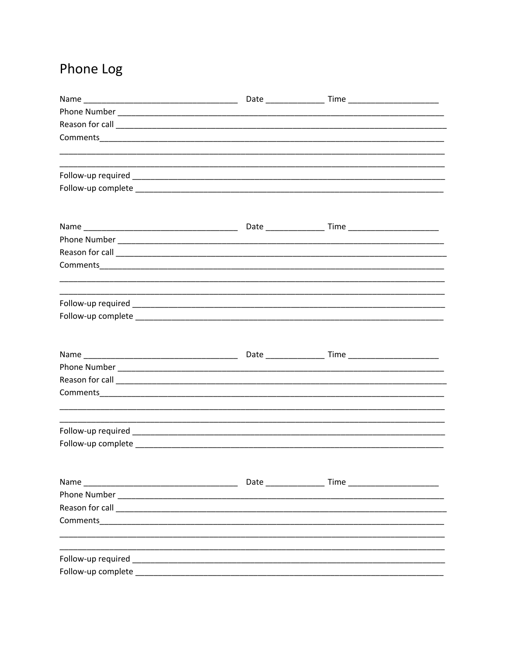# Phone Log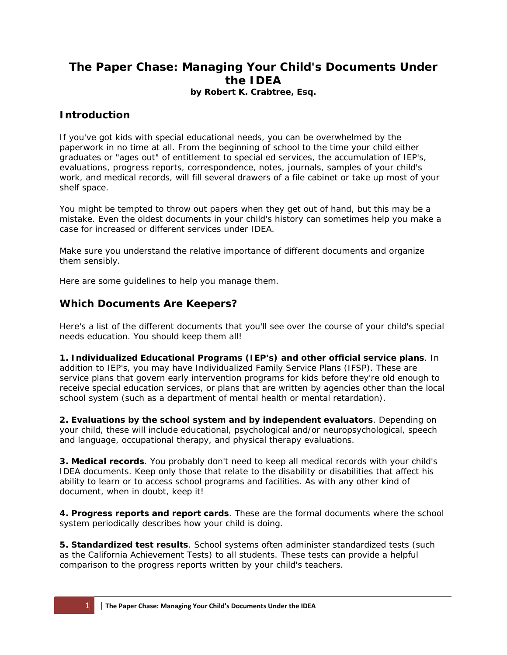## **The Paper Chase: Managing Your Child's Documents Under the IDEA**

## **by Robert K. Crabtree, Esq.**

## **Introduction**

If you've got kids with special educational needs, you can be overwhelmed by the paperwork in no time at all. From the beginning of school to the time your child either graduates or "ages out" of entitlement to special ed services, the accumulation of IEP's, evaluations, progress reports, correspondence, notes, journals, samples of your child's work, and medical records, will fill several drawers of a file cabinet or take up most of your shelf space.

You might be tempted to throw out papers when they get out of hand, but this may be a mistake. Even the oldest documents in your child's history can sometimes help you make a case for increased or different services under IDEA.

Make sure you understand the relative importance of different documents and organize them sensibly.

Here are some guidelines to help you manage them.

## **Which Documents Are Keepers?**

Here's a list of the different documents that you'll see over the course of your child's special needs education. You should keep them all!

**1. Individualized Educational Programs (IEP's) and other official service plans**. In addition to IEP's, you may have Individualized Family Service Plans (IFSP). These are service plans that govern early intervention programs for kids before they're old enough to receive special education services, or plans that are written by agencies other than the local school system (such as a department of mental health or mental retardation).

**2. Evaluations by the school system and by independent evaluators**. Depending on your child, these will include educational, psychological and/or neuropsychological, speech and language, occupational therapy, and physical therapy evaluations.

**3. Medical records**. You probably don't need to keep all medical records with your child's IDEA documents. Keep only those that relate to the disability or disabilities that affect his ability to learn or to access school programs and facilities. As with any other kind of document, when in doubt, keep it!

**4. Progress reports and report cards**. These are the formal documents where the school system periodically describes how your child is doing.

**5. Standardized test results**. School systems often administer standardized tests (such as the California Achievement Tests) to all students. These tests can provide a helpful comparison to the progress reports written by your child's teachers.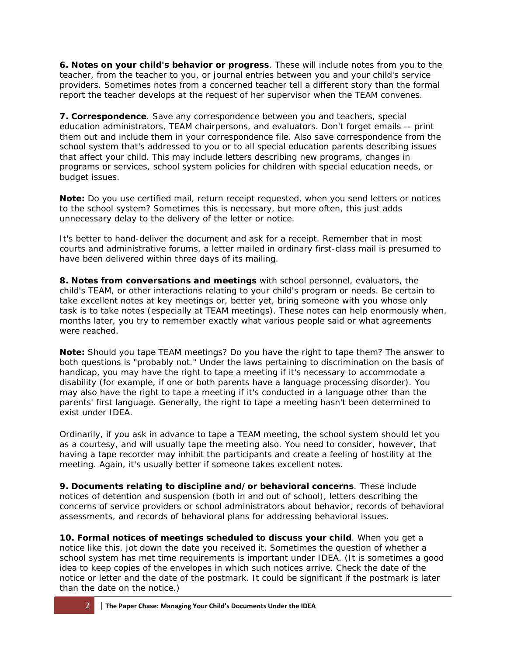**6. Notes on your child's behavior or progress**. These will include notes from you to the teacher, from the teacher to you, or journal entries between you and your child's service providers. Sometimes notes from a concerned teacher tell a different story than the formal report the teacher develops at the request of her supervisor when the TEAM convenes.

**7. Correspondence**. Save any correspondence between you and teachers, special education administrators, TEAM chairpersons, and evaluators. Don't forget emails -- print them out and include them in your correspondence file. Also save correspondence from the school system that's addressed to you or to all special education parents describing issues that affect your child. This may include letters describing new programs, changes in programs or services, school system policies for children with special education needs, or budget issues.

**Note:** Do you use certified mail, return receipt requested, when you send letters or notices to the school system? Sometimes this is necessary, but more often, this just adds unnecessary delay to the delivery of the letter or notice.

It's better to hand-deliver the document and ask for a receipt. Remember that in most courts and administrative forums, a letter mailed in ordinary first-class mail is presumed to have been delivered within three days of its mailing.

**8. Notes from conversations and meetings** with school personnel, evaluators, the child's TEAM, or other interactions relating to your child's program or needs. Be certain to take excellent notes at key meetings or, better yet, bring someone with you whose only task is to take notes (especially at TEAM meetings). These notes can help enormously when, months later, you try to remember exactly what various people said or what agreements were reached.

**Note:** Should you tape TEAM meetings? Do you have the right to tape them? The answer to both questions is "probably not." Under the laws pertaining to discrimination on the basis of handicap, you may have the right to tape a meeting if it's necessary to accommodate a disability (for example, if one or both parents have a language processing disorder). You may also have the right to tape a meeting if it's conducted in a language other than the parents' first language. Generally, the right to tape a meeting hasn't been determined to exist under IDEA.

Ordinarily, if you ask in advance to tape a TEAM meeting, the school system should let you as a courtesy, and will usually tape the meeting also. You need to consider, however, that having a tape recorder may inhibit the participants and create a feeling of hostility at the meeting. Again, it's usually better if someone takes excellent notes.

**9. Documents relating to discipline and/or behavioral concerns**. These include notices of detention and suspension (both in and out of school), letters describing the concerns of service providers or school administrators about behavior, records of behavioral assessments, and records of behavioral plans for addressing behavioral issues.

**10. Formal notices of meetings scheduled to discuss your child**. When you get a notice like this, jot down the date you received it. Sometimes the question of whether a school system has met time requirements is important under IDEA. (It is sometimes a good idea to keep copies of the envelopes in which such notices arrive. Check the date of the notice or letter and the date of the postmark. It could be significant if the postmark is later than the date on the notice.)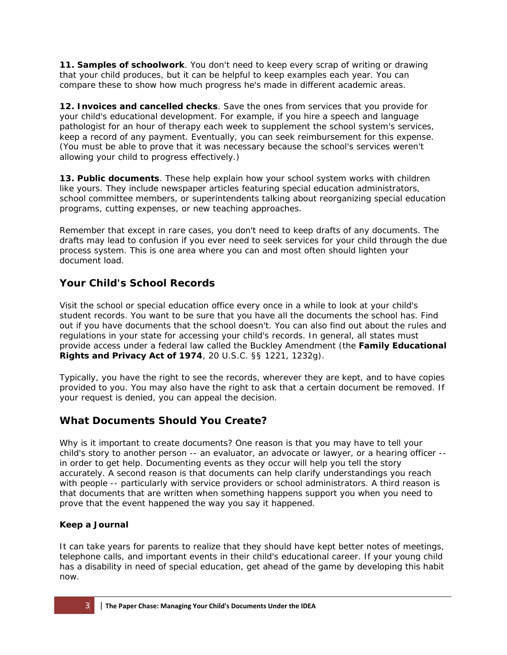**11. Samples of schoolwork**. You don't need to keep every scrap of writing or drawing that your child produces, but it can be helpful to keep examples each year. You can compare these to show how much progress he's made in different academic areas.

**12. Invoices and cancelled checks**. Save the ones from services that you provide for your child's educational development. For example, if you hire a speech and language pathologist for an hour of therapy each week to supplement the school system's services, keep a record of any payment. Eventually, you can seek reimbursement for this expense. (You must be able to prove that it was necessary because the school's services weren't allowing your child to progress effectively.)

**13. Public documents**. These help explain how your school system works with children like yours. They include newspaper articles featuring special education administrators, school committee members, or superintendents talking about reorganizing special education programs, cutting expenses, or new teaching approaches.

Remember that except in rare cases, you don't need to keep drafts of any documents. The drafts may lead to confusion if you ever need to seek services for your child through the due process system. This is one area where you can and most often should lighten your document load.

## **Your Child's School Records**

Visit the school or special education office every once in a while to look at your child's student records. You want to be sure that you have all the documents the school has. Find out if you have documents that the school doesn't. You can also find out about the rules and regulations in your state for accessing your child's records. In general, all states must provide access under a federal law called the Buckley Amendment (the *Family Educational Rights and Privacy Act of 1974*, 20 U.S.C. §§ 1221, 1232g).

Typically, you have the right to see the records, wherever they are kept, and to have copies provided to you. You may also have the right to ask that a certain document be removed. If your request is denied, you can appeal the decision.

## **What Documents Should You Create?**

Why is it important to create documents? One reason is that you may have to tell your child's story to another person -- an evaluator, an advocate or lawyer, or a hearing officer - in order to get help. Documenting events as they occur will help you tell the story accurately. A second reason is that documents can help clarify understandings you reach with people -- particularly with service providers or school administrators. A third reason is that documents that are written when something happens support you when you need to prove that the event happened the way you say it happened.

### **Keep a Journal**

It can take years for parents to realize that they should have kept better notes of meetings, telephone calls, and important events in their child's educational career. If your young child has a disability in need of special education, get ahead of the game by developing this habit now.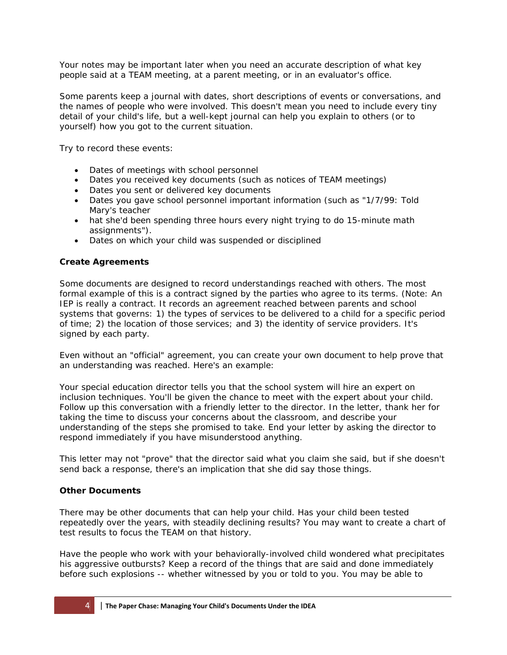Your notes may be important later when you need an accurate description of what key people said at a TEAM meeting, at a parent meeting, or in an evaluator's office.

Some parents keep a journal with dates, short descriptions of events or conversations, and the names of people who were involved. This doesn't mean you need to include every tiny detail of your child's life, but a well-kept journal can help you explain to others (or to yourself) how you got to the current situation.

Try to record these events:

- Dates of meetings with school personnel
- Dates you received key documents (such as notices of TEAM meetings)
- Dates you sent or delivered key documents
- Dates you gave school personnel important information (such as "1/7/99: Told Mary's teacher
- hat she'd been spending three hours every night trying to do 15-minute math assignments").
- Dates on which your child was suspended or disciplined

#### **Create Agreements**

Some documents are designed to record understandings reached with others. The most formal example of this is a contract signed by the parties who agree to its terms. (Note: An IEP is really a contract. It records an agreement reached between parents and school systems that governs: 1) the types of services to be delivered to a child for a specific period of time; 2) the location of those services; and 3) the identity of service providers. It's signed by each party.

Even without an "official" agreement, you can create your own document to help prove that an understanding was reached. Here's an example:

Your special education director tells you that the school system will hire an expert on inclusion techniques. You'll be given the chance to meet with the expert about your child. Follow up this conversation with a friendly letter to the director. In the letter, thank her for taking the time to discuss your concerns about the classroom, and describe your understanding of the steps she promised to take. End your letter by asking the director to respond immediately if you have misunderstood anything.

This letter may not "prove" that the director said what you claim she said, but if she doesn't send back a response, there's an implication that she did say those things.

#### **Other Documents**

There may be other documents that can help your child. Has your child been tested repeatedly over the years, with steadily declining results? You may want to create a chart of test results to focus the TEAM on that history.

Have the people who work with your behaviorally-involved child wondered what precipitates his aggressive outbursts? Keep a record of the things that are said and done immediately before such explosions -- whether witnessed by you or told to you. You may be able to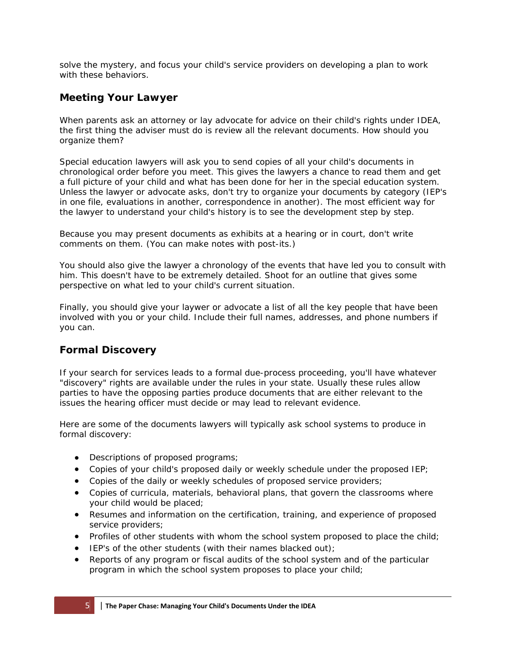solve the mystery, and focus your child's service providers on developing a plan to work with these behaviors.

## **Meeting Your Lawyer**

When parents ask an attorney or lay advocate for advice on their child's rights under IDEA, the first thing the adviser must do is review all the relevant documents. How should you organize them?

Special education lawyers will ask you to send copies of all your child's documents in chronological order before you meet. This gives the lawyers a chance to read them and get a full picture of your child and what has been done for her in the special education system. Unless the lawyer or advocate asks, don't try to organize your documents by category (IEP's in one file, evaluations in another, correspondence in another). The most efficient way for the lawyer to understand your child's history is to see the development step by step.

Because you may present documents as exhibits at a hearing or in court, don't write comments on them. (You can make notes with post-its.)

You should also give the lawyer a chronology of the events that have led you to consult with him. This doesn't have to be extremely detailed. Shoot for an outline that gives some perspective on what led to your child's current situation.

Finally, you should give your laywer or advocate a list of all the key people that have been involved with you or your child. Include their full names, addresses, and phone numbers if you can.

## **Formal Discovery**

If your search for services leads to a formal due-process proceeding, you'll have whatever "discovery" rights are available under the rules in your state. Usually these rules allow parties to have the opposing parties produce documents that are either relevant to the issues the hearing officer must decide or may lead to relevant evidence.

Here are some of the documents lawyers will typically ask school systems to produce in formal discovery:

- Descriptions of proposed programs;
- Copies of your child's proposed daily or weekly schedule under the proposed IEP;
- Copies of the daily or weekly schedules of proposed service providers;
- Copies of curricula, materials, behavioral plans, that govern the classrooms where your child would be placed;
- Resumes and information on the certification, training, and experience of proposed service providers;
- Profiles of other students with whom the school system proposed to place the child;
- IEP's of the other students (with their names blacked out);
- Reports of any program or fiscal audits of the school system and of the particular program in which the school system proposes to place your child;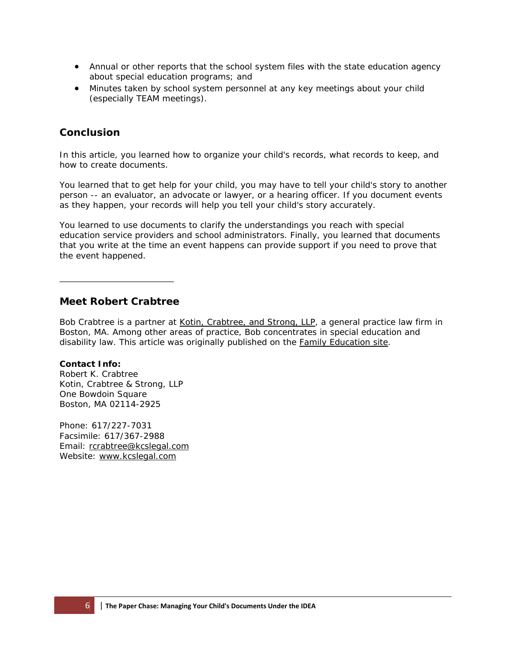- Annual or other reports that the school system files with the state education agency about special education programs; and
- Minutes taken by school system personnel at any key meetings about your child (especially TEAM meetings).

## **Conclusion**

In this article, you learned how to organize your child's records, what records to keep, and how to create documents.

You learned that to get help for your child, you may have to tell your child's story to another person -- an evaluator, an advocate or lawyer, or a hearing officer. If you document events as they happen, your records will help you tell your child's story accurately.

You learned to use documents to clarify the understandings you reach with special education service providers and school administrators. Finally, you learned that documents that you write at the time an event happens can provide support if you need to prove that the event happened.

**Meet Robert Crabtree**

\_\_\_\_\_\_\_\_\_\_\_\_\_\_\_\_\_\_\_\_\_\_\_

Bob Crabtree is a partner at Kotin, Crabtree, and Strong, LLP, a general practice law firm in Boston, MA. Among other areas of practice, Bob concentrates in special education and disability law. This article was originally published on the Family Education site.

#### **Contact Info:**

Robert K. Crabtree Kotin, Crabtree & Strong, LLP One Bowdoin Square Boston, MA 02114-2925

Phone: 617/227-7031 Facsimile: 617/367-2988 Email: rcrabtree@kcslegal.com Website: www.kcslegal.com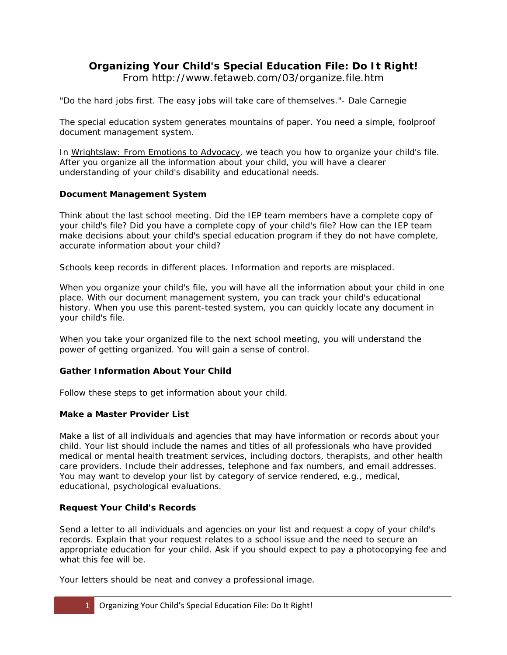## **Organizing Your Child's Special Education File: Do It Right!**

From http://www.fetaweb.com/03/organize.file.htm

"*Do the hard jobs first. The easy jobs will take care of themselves*."- Dale Carnegie

The special education system generates mountains of paper. You need a simple, foolproof document management system.

In Wrightslaw: From Emotions to Advocacy, we teach you how to organize your child's file. After you organize all the information about your child, you will have a clearer understanding of your child's disability and educational needs.

### **Document Management System**

Think about the last school meeting. Did the IEP team members have a complete copy of your child's file? Did you have a complete copy of your child's file? How can the IEP team make decisions about your child's special education program if they do not have complete, accurate information about your child?

Schools keep records in different places. Information and reports are misplaced.

When you organize your child's file, you will have all the information about your child in one place. With our document management system, you can track your child's educational history. When you use this parent-tested system, you can quickly locate any document in your child's file.

When you take your organized file to the next school meeting, you will understand the power of getting organized. You will gain a sense of control.

#### **Gather Information About Your Child**

Follow these steps to get information about your child.

#### **Make a Master Provider List**

Make a list of all individuals and agencies that may have information or records about your child. Your list should include the names and titles of all professionals who have provided medical or mental health treatment services, including doctors, therapists, and other health care providers. Include their addresses, telephone and fax numbers, and email addresses. You may want to develop your list by category of service rendered, e.g., medical, educational, psychological evaluations.

#### **Request Your Child's Records**

Send a letter to all individuals and agencies on your list and request a copy of your child's records. Explain that your request relates to a school issue and the need to secure an appropriate education for your child. Ask if you should expect to pay a photocopying fee and what this fee will be.

Your letters should be neat and convey a professional image.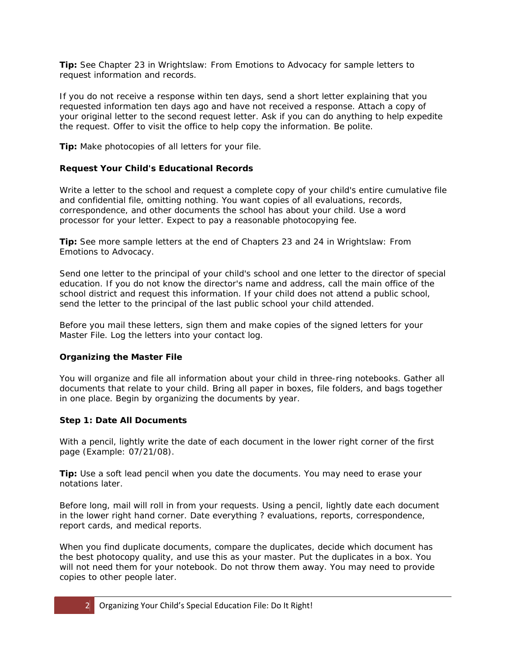**Tip:** See Chapter 23 in *Wrightslaw: From Emotions to Advocacy* for sample letters to request information and records.

If you do not receive a response within ten days, send a short letter explaining that you requested information ten days ago and have not received a response. Attach a copy of your original letter to the second request letter. Ask if you can do anything to help expedite the request. Offer to visit the office to help copy the information. Be polite.

**Tip:** Make photocopies of all letters for your file.

### **Request Your Child's Educational Records**

Write a letter to the school and request a complete copy of your child's entire cumulative file and confidential file, omitting nothing. You want copies of all evaluations, records, correspondence, and other documents the school has about your child. Use a word processor for your letter. Expect to pay a reasonable photocopying fee.

**Tip:** See more sample letters at the end of Chapters 23 and 24 in *Wrightslaw: From Emotions to Advocacy*.

Send one letter to the principal of your child's school and one letter to the director of special education. If you do not know the director's name and address, call the main office of the school district and request this information. If your child does not attend a public school, send the letter to the principal of the last public school your child attended.

Before you mail these letters, sign them and make copies of the signed letters for your Master File. Log the letters into your contact log.

#### **Organizing the Master File**

You will organize and file all information about your child in three-ring notebooks. Gather all documents that relate to your child. Bring all paper in boxes, file folders, and bags together in one place. Begin by organizing the documents by year.

#### **Step 1: Date All Documents**

With a pencil, lightly write the date of each document in the lower right corner of the first page (Example: 07/21/08).

**Tip:** Use a soft lead pencil when you date the documents. You may need to erase your notations later.

Before long, mail will roll in from your requests. Using a pencil, lightly date each document in the lower right hand corner. Date everything ? evaluations, reports, correspondence, report cards, and medical reports.

When you find duplicate documents, compare the duplicates, decide which document has the best photocopy quality, and use this as your master. Put the duplicates in a box. You will not need them for your notebook. Do not throw them away. You may need to provide copies to other people later.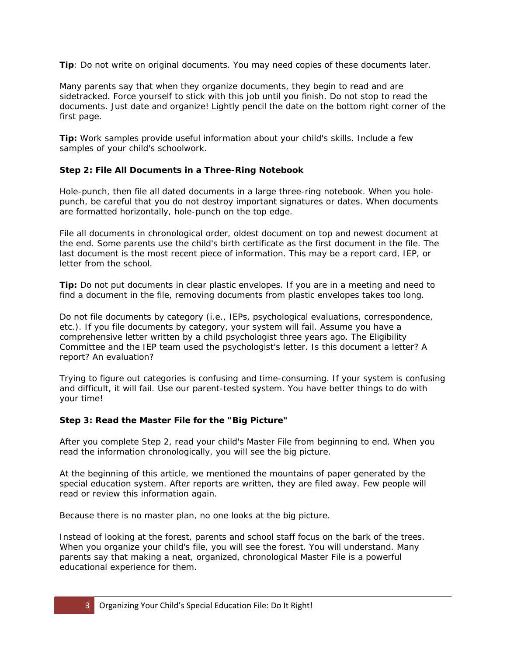**Tip**: Do not write on original documents. You may need copies of these documents later.

Many parents say that when they organize documents, they begin to read and are sidetracked. Force yourself to stick with this job until you finish. Do not stop to read the documents. Just date and organize! Lightly pencil the date on the bottom right corner of the first page.

**Tip:** Work samples provide useful information about your child's skills. Include a few samples of your child's schoolwork.

### **Step 2: File All Documents in a Three-Ring Notebook**

Hole-punch, then file all dated documents in a large three-ring notebook. When you holepunch, be careful that you do not destroy important signatures or dates. When documents are formatted horizontally, hole-punch on the top edge.

File all documents in chronological order, oldest document on top and newest document at the end. Some parents use the child's birth certificate as the first document in the file. The last document is the most recent piece of information. This may be a report card, IEP, or letter from the school.

**Tip:** Do not put documents in clear plastic envelopes. If you are in a meeting and need to find a document in the file, removing documents from plastic envelopes takes too long.

Do not file documents by category (i.e., IEPs, psychological evaluations, correspondence, etc.). If you file documents by category, your system will fail. Assume you have a comprehensive letter written by a child psychologist three years ago. The Eligibility Committee and the IEP team used the psychologist's letter. Is this document a letter? A report? An evaluation?

Trying to figure out categories is confusing and time-consuming. If your system is confusing and difficult, it will fail. Use our parent-tested system. You have better things to do with your time!

#### **Step 3: Read the Master File for the "Big Picture"**

After you complete Step 2, read your child's Master File from beginning to end. When you read the information chronologically, you will see the big picture.

At the beginning of this article, we mentioned the mountains of paper generated by the special education system. After reports are written, they are filed away. Few people will read or review this information again.

Because there is no master plan, no one looks at the big picture.

Instead of looking at the forest, parents and school staff focus on the bark of the trees. When you organize your child's file, you will see the forest. You will understand. Many parents say that making a neat, organized, chronological Master File is a powerful educational experience for them.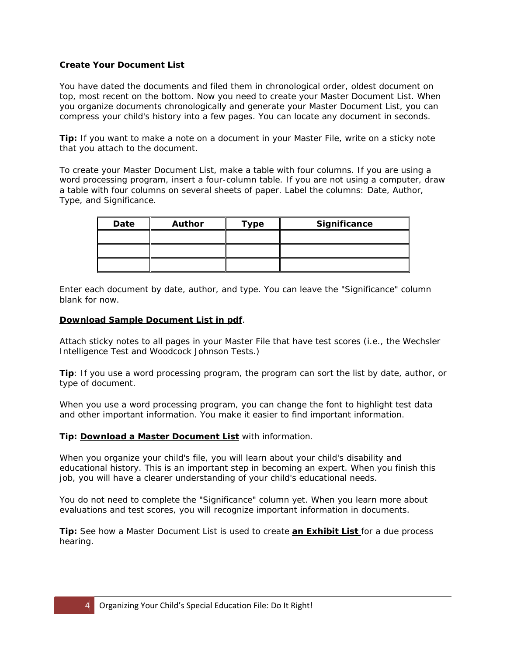### **Create Your Document List**

You have dated the documents and filed them in chronological order, oldest document on top, most recent on the bottom. Now you need to create your Master Document List. When you organize documents chronologically and generate your Master Document List, you can compress your child's history into a few pages. You can locate any document in seconds.

**Tip:** If you want to make a note on a document in your Master File, write on a sticky note that you attach to the document.

To create your Master Document List, make a table with four columns. If you are using a word processing program, insert a four-column table. If you are not using a computer, draw a table with four columns on several sheets of paper. Label the columns: Date, Author, Type, and Significance.

| Date | <b>Author</b> | <b>Type</b> | Significance |
|------|---------------|-------------|--------------|
|      |               |             |              |
|      |               |             |              |
|      |               |             |              |

Enter each document by date, author, and type. You can leave the "Significance" column blank for now.

#### **Download Sample Document List in pdf**.

Attach sticky notes to all pages in your Master File that have test scores (i.e., the Wechsler Intelligence Test and Woodcock Johnson Tests.)

**Tip**: If you use a word processing program, the program can sort the list by date, author, or type of document.

When you use a word processing program, you can change the font to highlight test data and other important information. You make it easier to find important information.

#### **Tip: Download a Master Document List** with information.

When you organize your child's file, you will learn about your child's disability and educational history. This is an important step in becoming an expert. When you finish this job, you will have a clearer understanding of your child's educational needs.

You do not need to complete the "Significance" column yet. When you learn more about evaluations and test scores, you will recognize important information in documents.

**Tip:** See how a Master Document List is used to create **an Exhibit List** for a due process hearing.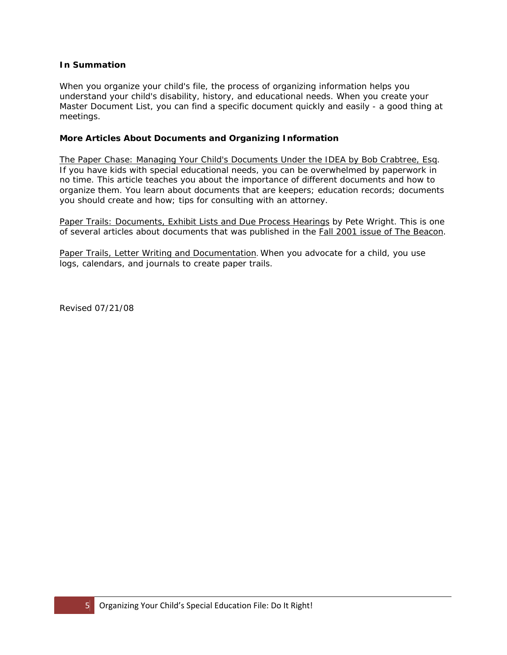#### **In Summation**

When you organize your child's file, the process of organizing information helps you understand your child's disability, history, and educational needs. When you create your Master Document List, you can find a specific document quickly and easily - a good thing at meetings.

### **More Articles About Documents and Organizing Information**

The Paper Chase: Managing Your Child's Documents Under the IDEA by Bob Crabtree, Esq. If you have kids with special educational needs, you can be overwhelmed by paperwork in no time. This article teaches you about the importance of different documents and how to organize them. You learn about documents that are keepers; education records; documents you should create and how; tips for consulting with an attorney.

Paper Trails: Documents, Exhibit Lists and Due Process Hearings by Pete Wright. This is one of several articles about documents that was published in the Fall 2001 issue of The Beacon.

Paper Trails, Letter Writing and Documentation. When you advocate for a child, you use logs, calendars, and journals to create paper trails.

Revised 07/21/08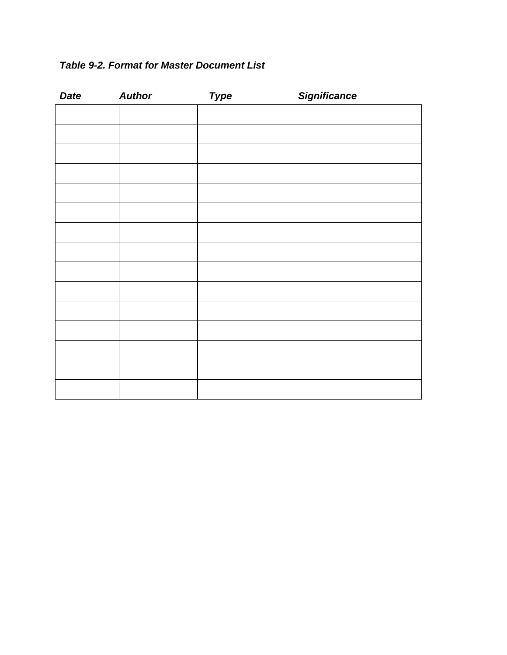| <b>Date</b> | <b>Author</b> | <b>Type</b> | <b>Significance</b> |
|-------------|---------------|-------------|---------------------|
|             |               |             |                     |
|             |               |             |                     |
|             |               |             |                     |
|             |               |             |                     |
|             |               |             |                     |
|             |               |             |                     |
|             |               |             |                     |
|             |               |             |                     |
|             |               |             |                     |
|             |               |             |                     |
|             |               |             |                     |
|             |               |             |                     |
|             |               |             |                     |
|             |               |             |                     |
|             |               |             |                     |

## *Table 9-2. Format for Master Document List*